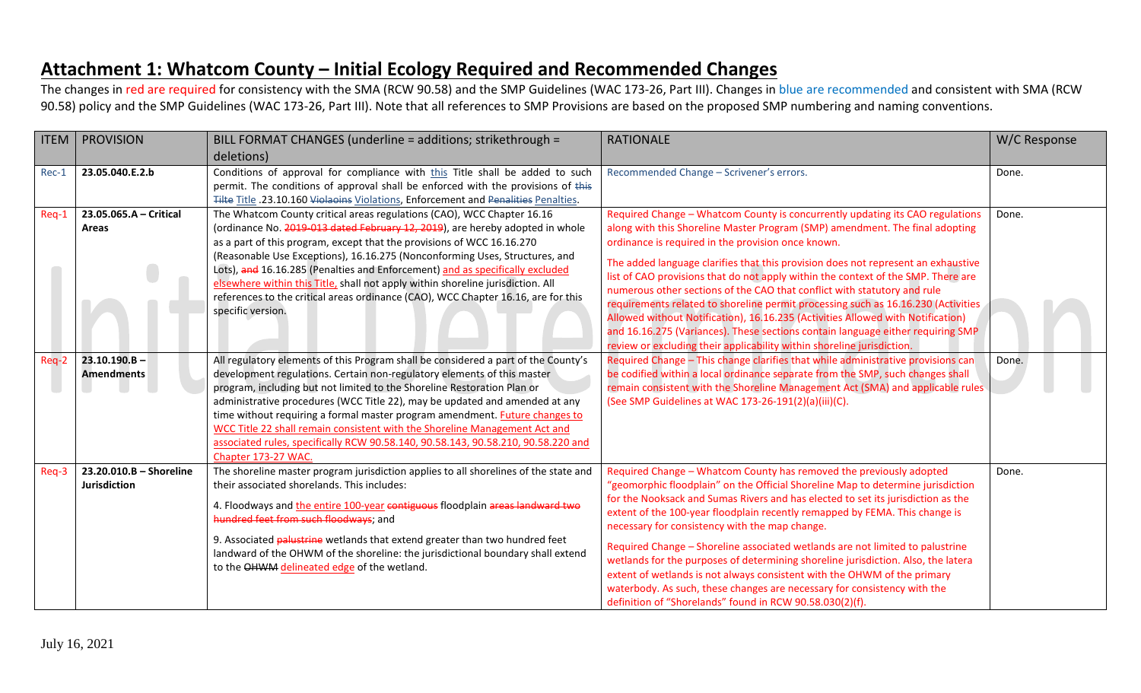## **Attachment 1: Whatcom County – Initial Ecology Required and Recommended Changes**

The changes in red are required for consistency with the SMA (RCW 90.58) and the SMP Guidelines (WAC 173-26, Part III). Changes in blue are recommended and consistent with SMA (RCW 90.58) policy and the SMP Guidelines (WAC 173-26, Part III). Note that all references to SMP Provisions are based on the proposed SMP numbering and naming conventions.

| <b>ITEM</b> | <b>PROVISION</b>                        | BILL FORMAT CHANGES (underline = additions; strikethrough =                                                                                                                                                                                                                                                                                                                                                                                                                                                                                                                                      | <b>RATIONALE</b>                                                                                                                                                                                                                                                                                                                                                                                                                                                                                                                                                                                                                                                                                                                                                                                               | W/C Response |
|-------------|-----------------------------------------|--------------------------------------------------------------------------------------------------------------------------------------------------------------------------------------------------------------------------------------------------------------------------------------------------------------------------------------------------------------------------------------------------------------------------------------------------------------------------------------------------------------------------------------------------------------------------------------------------|----------------------------------------------------------------------------------------------------------------------------------------------------------------------------------------------------------------------------------------------------------------------------------------------------------------------------------------------------------------------------------------------------------------------------------------------------------------------------------------------------------------------------------------------------------------------------------------------------------------------------------------------------------------------------------------------------------------------------------------------------------------------------------------------------------------|--------------|
|             |                                         | deletions)                                                                                                                                                                                                                                                                                                                                                                                                                                                                                                                                                                                       |                                                                                                                                                                                                                                                                                                                                                                                                                                                                                                                                                                                                                                                                                                                                                                                                                |              |
| Rec-1       | 23.05.040.E.2.b                         | Conditions of approval for compliance with this Title shall be added to such<br>permit. The conditions of approval shall be enforced with the provisions of this<br>Tilte Title .23.10.160 Violaoins Violations, Enforcement and Penalities Penalties.                                                                                                                                                                                                                                                                                                                                           | Recommended Change - Scrivener's errors.                                                                                                                                                                                                                                                                                                                                                                                                                                                                                                                                                                                                                                                                                                                                                                       | Done.        |
| Req-1       | 23.05.065.A - Critical<br>Areas         | The Whatcom County critical areas regulations (CAO), WCC Chapter 16.16<br>(ordinance No. 2019-013 dated February 12, 2019), are hereby adopted in whole<br>as a part of this program, except that the provisions of WCC 16.16.270<br>(Reasonable Use Exceptions), 16.16.275 (Nonconforming Uses, Structures, and<br>Lots), and 16.16.285 (Penalties and Enforcement) and as specifically excluded<br>elsewhere within this Title, shall not apply within shoreline jurisdiction. All<br>references to the critical areas ordinance (CAO), WCC Chapter 16.16, are for this<br>specific version.   | Required Change - Whatcom County is concurrently updating its CAO regulations<br>along with this Shoreline Master Program (SMP) amendment. The final adopting<br>ordinance is required in the provision once known.<br>The added language clarifies that this provision does not represent an exhaustive<br>list of CAO provisions that do not apply within the context of the SMP. There are<br>numerous other sections of the CAO that conflict with statutory and rule<br>requirements related to shoreline permit processing such as 16.16.230 (Activities<br>Allowed without Notification), 16.16.235 (Activities Allowed with Notification)<br>and 16.16.275 (Variances). These sections contain language either requiring SMP<br>review or excluding their applicability within shoreline jurisdiction. | Done.        |
| Req-2       | $23.10.190.B -$<br><b>Amendments</b>    | All regulatory elements of this Program shall be considered a part of the County's<br>development regulations. Certain non-regulatory elements of this master<br>program, including but not limited to the Shoreline Restoration Plan or<br>administrative procedures (WCC Title 22), may be updated and amended at any<br>time without requiring a formal master program amendment. Future changes to<br>WCC Title 22 shall remain consistent with the Shoreline Management Act and<br>associated rules, specifically RCW 90.58.140, 90.58.143, 90.58.210, 90.58.220 and<br>Chapter 173-27 WAC. | Required Change - This change clarifies that while administrative provisions can<br>be codified within a local ordinance separate from the SMP, such changes shall<br>remain consistent with the Shoreline Management Act (SMA) and applicable rules<br>(See SMP Guidelines at WAC 173-26-191(2)(a)(iii)(C).                                                                                                                                                                                                                                                                                                                                                                                                                                                                                                   | Done.        |
| Req-3       | 23.20.010.B - Shoreline<br>Jurisdiction | The shoreline master program jurisdiction applies to all shorelines of the state and<br>their associated shorelands. This includes:<br>4. Floodways and the entire 100-year contiguous floodplain areas landward two<br>hundred feet from such floodways; and<br>9. Associated palustrine wetlands that extend greater than two hundred feet<br>landward of the OHWM of the shoreline: the jurisdictional boundary shall extend<br>to the OHWM delineated edge of the wetland.                                                                                                                   | Required Change - Whatcom County has removed the previously adopted<br>"geomorphic floodplain" on the Official Shoreline Map to determine jurisdiction<br>for the Nooksack and Sumas Rivers and has elected to set its jurisdiction as the<br>extent of the 100-year floodplain recently remapped by FEMA. This change is<br>necessary for consistency with the map change.<br>Required Change - Shoreline associated wetlands are not limited to palustrine<br>wetlands for the purposes of determining shoreline jurisdiction. Also, the latera<br>extent of wetlands is not always consistent with the OHWM of the primary<br>waterbody. As such, these changes are necessary for consistency with the<br>definition of "Shorelands" found in RCW 90.58.030(2)(f).                                          | Done.        |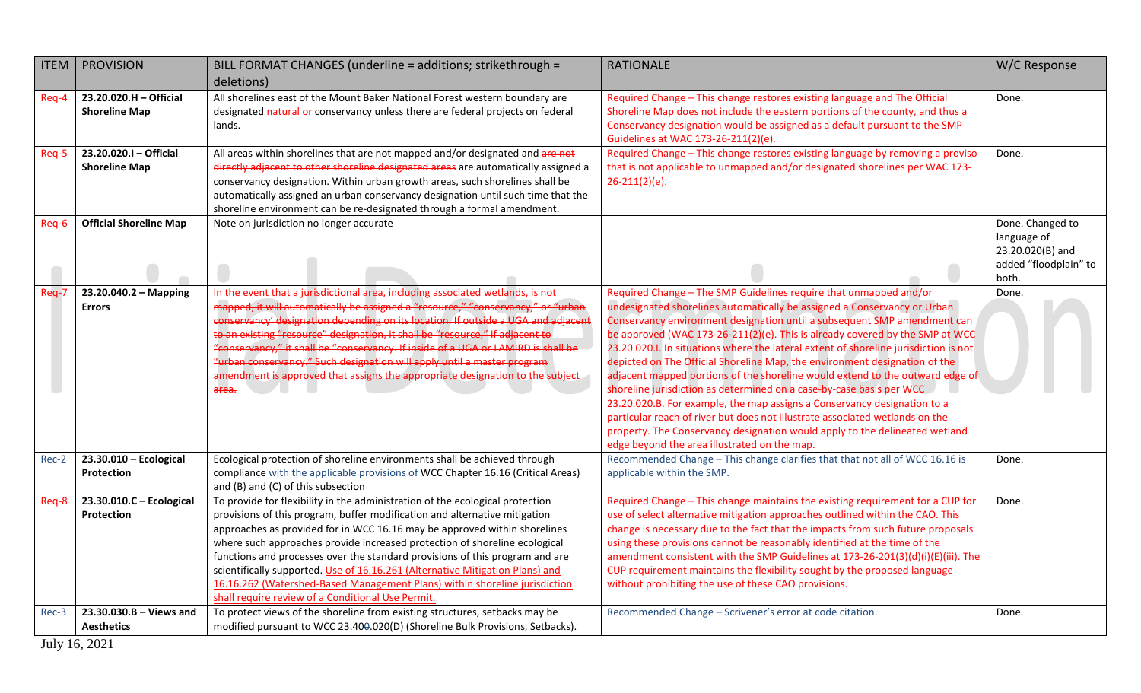| <b>ITEM</b> | <b>PROVISION</b>                               | BILL FORMAT CHANGES (underline = additions; strikethrough =<br>deletions)                                                                                                                                                                                                                                                                                                                                                                                                                                                                                                                                                  | <b>RATIONALE</b>                                                                                                                                                                                                                                                                                                                                                                                                                                                                                                                                                                                                                                                                                                                                                                                                                                                                                                                    | W/C Response                                                                          |
|-------------|------------------------------------------------|----------------------------------------------------------------------------------------------------------------------------------------------------------------------------------------------------------------------------------------------------------------------------------------------------------------------------------------------------------------------------------------------------------------------------------------------------------------------------------------------------------------------------------------------------------------------------------------------------------------------------|-------------------------------------------------------------------------------------------------------------------------------------------------------------------------------------------------------------------------------------------------------------------------------------------------------------------------------------------------------------------------------------------------------------------------------------------------------------------------------------------------------------------------------------------------------------------------------------------------------------------------------------------------------------------------------------------------------------------------------------------------------------------------------------------------------------------------------------------------------------------------------------------------------------------------------------|---------------------------------------------------------------------------------------|
| Req-4       | 23.20.020.H - Official<br><b>Shoreline Map</b> | All shorelines east of the Mount Baker National Forest western boundary are<br>designated natural or conservancy unless there are federal projects on federal<br>lands.                                                                                                                                                                                                                                                                                                                                                                                                                                                    | Required Change - This change restores existing language and The Official<br>Shoreline Map does not include the eastern portions of the county, and thus a<br>Conservancy designation would be assigned as a default pursuant to the SMP<br>Guidelines at WAC 173-26-211(2)(e).                                                                                                                                                                                                                                                                                                                                                                                                                                                                                                                                                                                                                                                     | Done.                                                                                 |
| Req-5       | 23.20.020.I - Official<br><b>Shoreline Map</b> | All areas within shorelines that are not mapped and/or designated and are not<br>directly adjacent to other shoreline designated areas are automatically assigned a<br>conservancy designation. Within urban growth areas, such shorelines shall be<br>automatically assigned an urban conservancy designation until such time that the<br>shoreline environment can be re-designated through a formal amendment.                                                                                                                                                                                                          | Required Change - This change restores existing language by removing a proviso<br>that is not applicable to unmapped and/or designated shorelines per WAC 173-<br>$26 - 211(2)(e)$ .                                                                                                                                                                                                                                                                                                                                                                                                                                                                                                                                                                                                                                                                                                                                                | Done.                                                                                 |
| Req-6       | <b>Official Shoreline Map</b>                  | Note on jurisdiction no longer accurate                                                                                                                                                                                                                                                                                                                                                                                                                                                                                                                                                                                    |                                                                                                                                                                                                                                                                                                                                                                                                                                                                                                                                                                                                                                                                                                                                                                                                                                                                                                                                     | Done. Changed to<br>language of<br>23.20.020(B) and<br>added "floodplain" to<br>both. |
| Req-7       | 23.20.040.2 - Mapping<br><b>Errors</b>         | In the event that a jurisdictional area, including associated wetlands, is not<br>mapped, it will automatically be assigned a "resource," "conservancy," or "urban<br>conservancy' designation depending on its location. If outside a UGA and adjacent<br>to an existing "resource" designation, it shall be "resource," if adjacent to<br>"conservancy," it shall be "conservancy. If inside of a UGA or LAMIRD is shall be<br>"urban conservancy." Such designation will apply until a master program<br>amendment is approved that assigns the appropriate designation to the subject<br>area.                         | Required Change - The SMP Guidelines require that unmapped and/or<br>undesignated shorelines automatically be assigned a Conservancy or Urban<br>Conservancy environment designation until a subsequent SMP amendment can<br>be approved (WAC 173-26-211(2)(e). This is already covered by the SMP at WCC<br>23.20.020.I. In situations where the lateral extent of shoreline jurisdiction is not<br>depicted on The Official Shoreline Map, the environment designation of the<br>adjacent mapped portions of the shoreline would extend to the outward edge of<br>shoreline jurisdiction as determined on a case-by-case basis per WCC<br>23.20.020.B. For example, the map assigns a Conservancy designation to a<br>particular reach of river but does not illustrate associated wetlands on the<br>property. The Conservancy designation would apply to the delineated wetland<br>edge beyond the area illustrated on the map. | Done.                                                                                 |
| Rec-2       | $23.30.010 - Ecological$<br><b>Protection</b>  | Ecological protection of shoreline environments shall be achieved through<br>compliance with the applicable provisions of WCC Chapter 16.16 (Critical Areas)<br>and (B) and (C) of this subsection                                                                                                                                                                                                                                                                                                                                                                                                                         | Recommended Change - This change clarifies that that not all of WCC 16.16 is<br>applicable within the SMP.                                                                                                                                                                                                                                                                                                                                                                                                                                                                                                                                                                                                                                                                                                                                                                                                                          | Done.                                                                                 |
| Req-8       | 23.30.010.C - Ecological<br>Protection         | To provide for flexibility in the administration of the ecological protection<br>provisions of this program, buffer modification and alternative mitigation<br>approaches as provided for in WCC 16.16 may be approved within shorelines<br>where such approaches provide increased protection of shoreline ecological<br>functions and processes over the standard provisions of this program and are<br>scientifically supported. Use of 16.16.261 (Alternative Mitigation Plans) and<br>16.16.262 (Watershed-Based Management Plans) within shoreline jurisdiction<br>shall require review of a Conditional Use Permit. | Required Change - This change maintains the existing requirement for a CUP for<br>use of select alternative mitigation approaches outlined within the CAO. This<br>change is necessary due to the fact that the impacts from such future proposals<br>using these provisions cannot be reasonably identified at the time of the<br>amendment consistent with the SMP Guidelines at 173-26-201(3)(d)(i)(E)(iii). The<br>CUP requirement maintains the flexibility sought by the proposed language<br>without prohibiting the use of these CAO provisions.                                                                                                                                                                                                                                                                                                                                                                            | Done.                                                                                 |
| Rec-3       | $23.30.030.B - Views$ and<br><b>Aesthetics</b> | To protect views of the shoreline from existing structures, setbacks may be<br>modified pursuant to WCC 23.400.020(D) (Shoreline Bulk Provisions, Setbacks).                                                                                                                                                                                                                                                                                                                                                                                                                                                               | Recommended Change - Scrivener's error at code citation.                                                                                                                                                                                                                                                                                                                                                                                                                                                                                                                                                                                                                                                                                                                                                                                                                                                                            | Done.                                                                                 |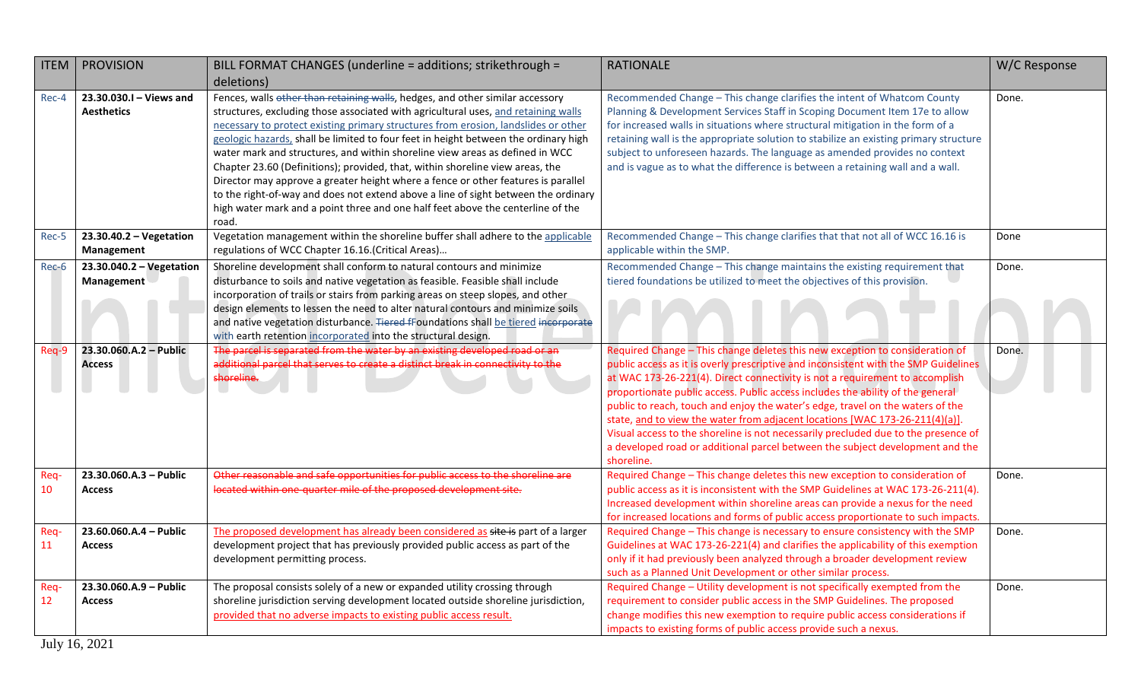| <b>ITEM</b> | <b>PROVISION</b>                             | BILL FORMAT CHANGES (underline = additions; strikethrough =                                                                                                                                                                                                                                                                                                                                                                                                                                                                                                                                                                                                                                                                                                                              | <b>RATIONALE</b>                                                                                                                                                                                                                                                                                                                                                                                                                                                                                                                                                                                                                                                                             | W/C Response |
|-------------|----------------------------------------------|------------------------------------------------------------------------------------------------------------------------------------------------------------------------------------------------------------------------------------------------------------------------------------------------------------------------------------------------------------------------------------------------------------------------------------------------------------------------------------------------------------------------------------------------------------------------------------------------------------------------------------------------------------------------------------------------------------------------------------------------------------------------------------------|----------------------------------------------------------------------------------------------------------------------------------------------------------------------------------------------------------------------------------------------------------------------------------------------------------------------------------------------------------------------------------------------------------------------------------------------------------------------------------------------------------------------------------------------------------------------------------------------------------------------------------------------------------------------------------------------|--------------|
|             |                                              | deletions)                                                                                                                                                                                                                                                                                                                                                                                                                                                                                                                                                                                                                                                                                                                                                                               |                                                                                                                                                                                                                                                                                                                                                                                                                                                                                                                                                                                                                                                                                              |              |
| Rec-4       | 23.30.030.I - Views and<br><b>Aesthetics</b> | Fences, walls other than retaining walls, hedges, and other similar accessory<br>structures, excluding those associated with agricultural uses, and retaining walls<br>necessary to protect existing primary structures from erosion, landslides or other<br>geologic hazards, shall be limited to four feet in height between the ordinary high<br>water mark and structures, and within shoreline view areas as defined in WCC<br>Chapter 23.60 (Definitions); provided, that, within shoreline view areas, the<br>Director may approve a greater height where a fence or other features is parallel<br>to the right-of-way and does not extend above a line of sight between the ordinary<br>high water mark and a point three and one half feet above the centerline of the<br>road. | Recommended Change - This change clarifies the intent of Whatcom County<br>Planning & Development Services Staff in Scoping Document Item 17e to allow<br>for increased walls in situations where structural mitigation in the form of a<br>retaining wall is the appropriate solution to stabilize an existing primary structure<br>subject to unforeseen hazards. The language as amended provides no context<br>and is vague as to what the difference is between a retaining wall and a wall.                                                                                                                                                                                            | Done.        |
| Rec-5       | $23.30.40.2 - Vegetation$<br>Management      | Vegetation management within the shoreline buffer shall adhere to the applicable<br>regulations of WCC Chapter 16.16.(Critical Areas)                                                                                                                                                                                                                                                                                                                                                                                                                                                                                                                                                                                                                                                    | Recommended Change - This change clarifies that that not all of WCC 16.16 is<br>applicable within the SMP.                                                                                                                                                                                                                                                                                                                                                                                                                                                                                                                                                                                   | Done         |
| Rec-6       | 23.30.040.2 - Vegetation<br>Management       | Shoreline development shall conform to natural contours and minimize<br>disturbance to soils and native vegetation as feasible. Feasible shall include<br>incorporation of trails or stairs from parking areas on steep slopes, and other<br>design elements to lessen the need to alter natural contours and minimize soils<br>and native vegetation disturbance. Tiered fFoundations shall be tiered incorporate<br>with earth retention incorporated into the structural design.                                                                                                                                                                                                                                                                                                      | Recommended Change - This change maintains the existing requirement that<br>tiered foundations be utilized to meet the objectives of this provision.                                                                                                                                                                                                                                                                                                                                                                                                                                                                                                                                         | Done.        |
| Req-9       | 23.30.060.A.2 - Public<br><b>Access</b>      | The parcel is separated from the water by an existing developed road or an<br>additional parcel that serves to create a distinct break in connectivity to the<br>shoreline.                                                                                                                                                                                                                                                                                                                                                                                                                                                                                                                                                                                                              | Required Change - This change deletes this new exception to consideration of<br>public access as it is overly prescriptive and inconsistent with the SMP Guidelines<br>at WAC 173-26-221(4). Direct connectivity is not a requirement to accomplish<br>proportionate public access. Public access includes the ability of the general<br>public to reach, touch and enjoy the water's edge, travel on the waters of the<br>state, and to view the water from adjacent locations [WAC 173-26-211(4)(a)].<br>Visual access to the shoreline is not necessarily precluded due to the presence of<br>a developed road or additional parcel between the subject development and the<br>shoreline. | Done.        |
| Req-<br>10  | 23.30.060.A.3 - Public<br><b>Access</b>      | Other reasonable and safe opportunities for public access to the shoreline are<br>located within one-quarter mile of the proposed development site.                                                                                                                                                                                                                                                                                                                                                                                                                                                                                                                                                                                                                                      | Required Change - This change deletes this new exception to consideration of<br>public access as it is inconsistent with the SMP Guidelines at WAC 173-26-211(4).<br>Increased development within shoreline areas can provide a nexus for the need<br>for increased locations and forms of public access proportionate to such impacts.                                                                                                                                                                                                                                                                                                                                                      | Done.        |
| Req-<br>11  | 23.60.060.A.4 - Public<br><b>Access</b>      | The proposed development has already been considered as site is part of a larger<br>development project that has previously provided public access as part of the<br>development permitting process.                                                                                                                                                                                                                                                                                                                                                                                                                                                                                                                                                                                     | Required Change - This change is necessary to ensure consistency with the SMP<br>Guidelines at WAC 173-26-221(4) and clarifies the applicability of this exemption<br>only if it had previously been analyzed through a broader development review<br>such as a Planned Unit Development or other similar process.                                                                                                                                                                                                                                                                                                                                                                           | Done.        |
| Req-<br>12  | 23.30.060.A.9 - Public<br><b>Access</b>      | The proposal consists solely of a new or expanded utility crossing through<br>shoreline jurisdiction serving development located outside shoreline jurisdiction,<br>provided that no adverse impacts to existing public access result.                                                                                                                                                                                                                                                                                                                                                                                                                                                                                                                                                   | Required Change - Utility development is not specifically exempted from the<br>requirement to consider public access in the SMP Guidelines. The proposed<br>change modifies this new exemption to require public access considerations if<br>impacts to existing forms of public access provide such a nexus.                                                                                                                                                                                                                                                                                                                                                                                | Done.        |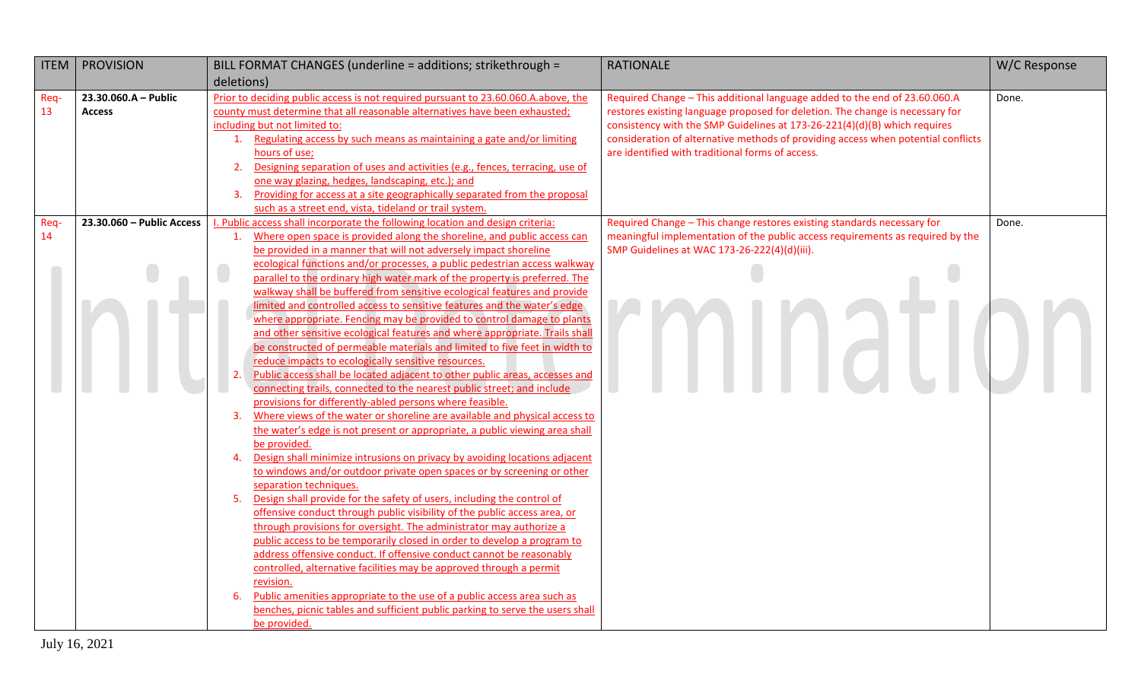| <b>ITEM</b> | <b>PROVISION</b>          | BILL FORMAT CHANGES (underline = additions; strikethrough =                                                                                                    | <b>RATIONALE</b>                                                                                                                      | W/C Response |
|-------------|---------------------------|----------------------------------------------------------------------------------------------------------------------------------------------------------------|---------------------------------------------------------------------------------------------------------------------------------------|--------------|
|             |                           | deletions)                                                                                                                                                     |                                                                                                                                       |              |
| Req-        | 23.30.060.A - Public      | Prior to deciding public access is not required pursuant to 23.60.060.A.above, the                                                                             | Required Change - This additional language added to the end of 23.60.060.A                                                            | Done.        |
| 13          | <b>Access</b>             | county must determine that all reasonable alternatives have been exhausted;                                                                                    | restores existing language proposed for deletion. The change is necessary for                                                         |              |
|             |                           | including but not limited to:                                                                                                                                  | consistency with the SMP Guidelines at 173-26-221(4)(d)(B) which requires                                                             |              |
|             |                           | 1. Regulating access by such means as maintaining a gate and/or limiting<br>hours of use;                                                                      | consideration of alternative methods of providing access when potential conflicts<br>are identified with traditional forms of access. |              |
|             |                           | Designing separation of uses and activities (e.g., fences, terracing, use of<br>2.                                                                             |                                                                                                                                       |              |
|             |                           | one way glazing, hedges, landscaping, etc.); and                                                                                                               |                                                                                                                                       |              |
|             |                           | Providing for access at a site geographically separated from the proposal<br>3                                                                                 |                                                                                                                                       |              |
|             |                           | such as a street end, vista, tideland or trail system.                                                                                                         |                                                                                                                                       |              |
| Req-        | 23.30.060 - Public Access | . Public access shall incorporate the following location and design criteria:                                                                                  | Required Change - This change restores existing standards necessary for                                                               | Done.        |
| 14          |                           | Where open space is provided along the shoreline, and public access can<br>$\mathbf{1}$ .                                                                      | meaningful implementation of the public access requirements as required by the                                                        |              |
|             |                           | be provided in a manner that will not adversely impact shoreline                                                                                               | SMP Guidelines at WAC 173-26-222(4)(d)(iii).                                                                                          |              |
|             |                           | ecological functions and/or processes, a public pedestrian access walkway                                                                                      |                                                                                                                                       |              |
|             |                           | parallel to the ordinary high water mark of the property is preferred. The                                                                                     |                                                                                                                                       |              |
|             |                           | walkway shall be buffered from sensitive ecological features and provide<br>limited and controlled access to sensitive features and the water's edge           |                                                                                                                                       |              |
|             |                           | where appropriate. Fencing may be provided to control damage to plants                                                                                         |                                                                                                                                       |              |
|             |                           | and other sensitive ecological features and where appropriate. Trails shall                                                                                    |                                                                                                                                       |              |
|             |                           | be constructed of permeable materials and limited to five feet in width to                                                                                     |                                                                                                                                       |              |
|             |                           | reduce impacts to ecologically sensitive resources.                                                                                                            |                                                                                                                                       |              |
|             |                           | Public access shall be located adjacent to other public areas, accesses and<br>2.                                                                              |                                                                                                                                       |              |
|             |                           | connecting trails, connected to the nearest public street; and include                                                                                         |                                                                                                                                       |              |
|             |                           | provisions for differently-abled persons where feasible.                                                                                                       |                                                                                                                                       |              |
|             |                           | Where views of the water or shoreline are available and physical access to<br>$\overline{3}$ .                                                                 |                                                                                                                                       |              |
|             |                           | the water's edge is not present or appropriate, a public viewing area shall                                                                                    |                                                                                                                                       |              |
|             |                           | be provided.<br>Design shall minimize intrusions on privacy by avoiding locations adjacent                                                                     |                                                                                                                                       |              |
|             |                           | 4.<br>to windows and/or outdoor private open spaces or by screening or other                                                                                   |                                                                                                                                       |              |
|             |                           | separation techniques.                                                                                                                                         |                                                                                                                                       |              |
|             |                           | Design shall provide for the safety of users, including the control of<br>5.                                                                                   |                                                                                                                                       |              |
|             |                           | offensive conduct through public visibility of the public access area, or                                                                                      |                                                                                                                                       |              |
|             |                           | through provisions for oversight. The administrator may authorize a                                                                                            |                                                                                                                                       |              |
|             |                           | public access to be temporarily closed in order to develop a program to                                                                                        |                                                                                                                                       |              |
|             |                           | address offensive conduct. If offensive conduct cannot be reasonably                                                                                           |                                                                                                                                       |              |
|             |                           | controlled, alternative facilities may be approved through a permit                                                                                            |                                                                                                                                       |              |
|             |                           | revision.                                                                                                                                                      |                                                                                                                                       |              |
|             |                           | Public amenities appropriate to the use of a public access area such as<br>6.<br>benches, picnic tables and sufficient public parking to serve the users shall |                                                                                                                                       |              |
|             |                           | be provided.                                                                                                                                                   |                                                                                                                                       |              |
|             |                           |                                                                                                                                                                |                                                                                                                                       |              |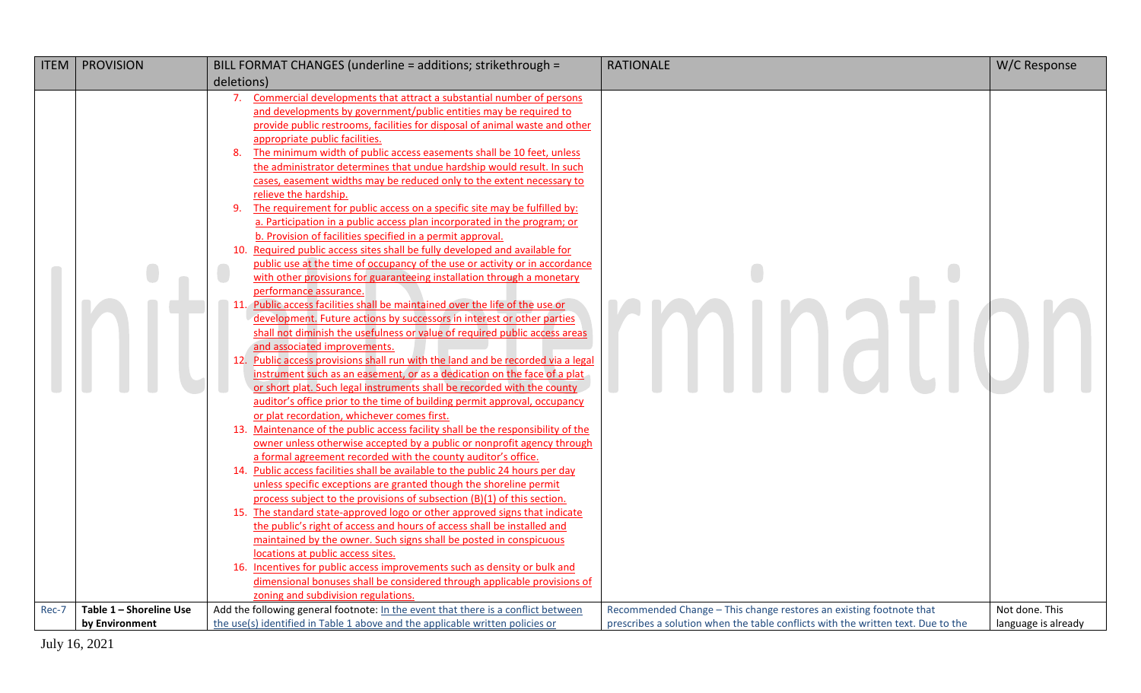|       | <b>ITEM   PROVISION</b> | BILL FORMAT CHANGES (underline = additions; strikethrough =                                                                                                                                                                                                                                                                                                                                                                                                                                                                                                                                                                                                                                                                                                                                                                                                                                                                                                                                                                                                                                                                                                                                                                                                                                                                                                                                                                                                                                                                                                                                                                                                                                                                                                                                                                                                                                                                                                                                                                                                                                                                                                                                                                                                                                                                                                                                                                                                                                                                                                            | <b>RATIONALE</b>                                                                 | W/C Response        |
|-------|-------------------------|------------------------------------------------------------------------------------------------------------------------------------------------------------------------------------------------------------------------------------------------------------------------------------------------------------------------------------------------------------------------------------------------------------------------------------------------------------------------------------------------------------------------------------------------------------------------------------------------------------------------------------------------------------------------------------------------------------------------------------------------------------------------------------------------------------------------------------------------------------------------------------------------------------------------------------------------------------------------------------------------------------------------------------------------------------------------------------------------------------------------------------------------------------------------------------------------------------------------------------------------------------------------------------------------------------------------------------------------------------------------------------------------------------------------------------------------------------------------------------------------------------------------------------------------------------------------------------------------------------------------------------------------------------------------------------------------------------------------------------------------------------------------------------------------------------------------------------------------------------------------------------------------------------------------------------------------------------------------------------------------------------------------------------------------------------------------------------------------------------------------------------------------------------------------------------------------------------------------------------------------------------------------------------------------------------------------------------------------------------------------------------------------------------------------------------------------------------------------------------------------------------------------------------------------------------------------|----------------------------------------------------------------------------------|---------------------|
|       |                         | deletions)                                                                                                                                                                                                                                                                                                                                                                                                                                                                                                                                                                                                                                                                                                                                                                                                                                                                                                                                                                                                                                                                                                                                                                                                                                                                                                                                                                                                                                                                                                                                                                                                                                                                                                                                                                                                                                                                                                                                                                                                                                                                                                                                                                                                                                                                                                                                                                                                                                                                                                                                                             |                                                                                  |                     |
|       |                         | 7. Commercial developments that attract a substantial number of persons<br>and developments by government/public entities may be required to<br>provide public restrooms, facilities for disposal of animal waste and other<br>appropriate public facilities.<br>The minimum width of public access easements shall be 10 feet, unless<br>8.<br>the administrator determines that undue hardship would result. In such<br>cases, easement widths may be reduced only to the extent necessary to<br>relieve the hardship.<br>The requirement for public access on a specific site may be fulfilled by:<br>9.<br>a. Participation in a public access plan incorporated in the program; or<br>b. Provision of facilities specified in a permit approval.<br>10. Required public access sites shall be fully developed and available for<br>public use at the time of occupancy of the use or activity or in accordance<br>with other provisions for guaranteeing installation through a monetary<br>performance assurance.<br>11. Public access facilities shall be maintained over the life of the use or<br>development. Future actions by successors in interest or other parties<br>shall not diminish the usefulness or value of required public access areas<br>and associated improvements.<br>12. Public access provisions shall run with the land and be recorded via a legal<br>instrument such as an easement, or as a dedication on the face of a plat<br>or short plat. Such legal instruments shall be recorded with the county<br>auditor's office prior to the time of building permit approval, occupancy<br>or plat recordation, whichever comes first.<br>13. Maintenance of the public access facility shall be the responsibility of the<br>owner unless otherwise accepted by a public or nonprofit agency through<br>a formal agreement recorded with the county auditor's office.<br>14. Public access facilities shall be available to the public 24 hours per day<br>unless specific exceptions are granted though the shoreline permit<br>process subject to the provisions of subsection (B)(1) of this section.<br>15. The standard state-approved logo or other approved signs that indicate<br>the public's right of access and hours of access shall be installed and<br>maintained by the owner. Such signs shall be posted in conspicuous<br>locations at public access sites.<br>16. Incentives for public access improvements such as density or bulk and<br>dimensional bonuses shall be considered through applicable provisions of |                                                                                  |                     |
|       |                         | zoning and subdivision regulations.                                                                                                                                                                                                                                                                                                                                                                                                                                                                                                                                                                                                                                                                                                                                                                                                                                                                                                                                                                                                                                                                                                                                                                                                                                                                                                                                                                                                                                                                                                                                                                                                                                                                                                                                                                                                                                                                                                                                                                                                                                                                                                                                                                                                                                                                                                                                                                                                                                                                                                                                    |                                                                                  |                     |
| Rec-7 | Table 1 - Shoreline Use | Add the following general footnote: In the event that there is a conflict between                                                                                                                                                                                                                                                                                                                                                                                                                                                                                                                                                                                                                                                                                                                                                                                                                                                                                                                                                                                                                                                                                                                                                                                                                                                                                                                                                                                                                                                                                                                                                                                                                                                                                                                                                                                                                                                                                                                                                                                                                                                                                                                                                                                                                                                                                                                                                                                                                                                                                      | Recommended Change - This change restores an existing footnote that              | Not done. This      |
|       | by Environment          | the use(s) identified in Table 1 above and the applicable written policies or                                                                                                                                                                                                                                                                                                                                                                                                                                                                                                                                                                                                                                                                                                                                                                                                                                                                                                                                                                                                                                                                                                                                                                                                                                                                                                                                                                                                                                                                                                                                                                                                                                                                                                                                                                                                                                                                                                                                                                                                                                                                                                                                                                                                                                                                                                                                                                                                                                                                                          | prescribes a solution when the table conflicts with the written text. Due to the | language is already |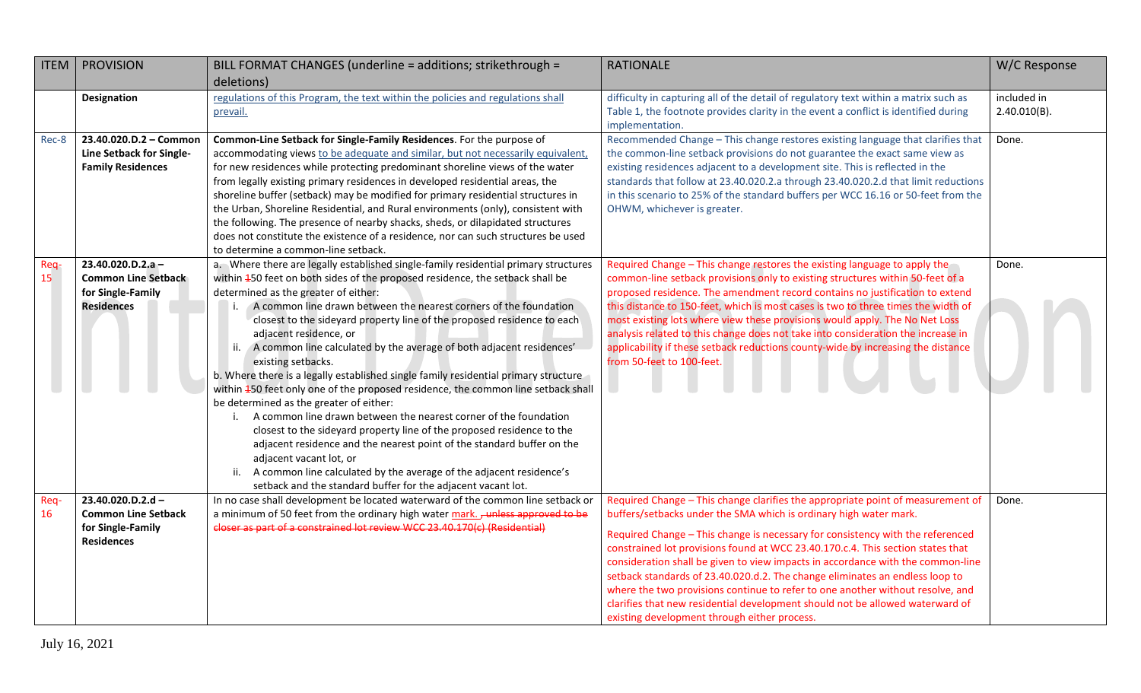| <b>ITEM</b> | <b>PROVISION</b>                                                                         | BILL FORMAT CHANGES (underline = additions; strikethrough =                                                                                                                                                                                                                                                                                                                                                                                                                                                                                                                                                                                                                                                                                                                                                                                                                                                                                                                                                                                                                                                   | <b>RATIONALE</b>                                                                                                                                                                                                                                                                                                                                                                                                                                                                                                                                                                                                                                                                                                | W/C Response                   |
|-------------|------------------------------------------------------------------------------------------|---------------------------------------------------------------------------------------------------------------------------------------------------------------------------------------------------------------------------------------------------------------------------------------------------------------------------------------------------------------------------------------------------------------------------------------------------------------------------------------------------------------------------------------------------------------------------------------------------------------------------------------------------------------------------------------------------------------------------------------------------------------------------------------------------------------------------------------------------------------------------------------------------------------------------------------------------------------------------------------------------------------------------------------------------------------------------------------------------------------|-----------------------------------------------------------------------------------------------------------------------------------------------------------------------------------------------------------------------------------------------------------------------------------------------------------------------------------------------------------------------------------------------------------------------------------------------------------------------------------------------------------------------------------------------------------------------------------------------------------------------------------------------------------------------------------------------------------------|--------------------------------|
|             |                                                                                          | deletions)                                                                                                                                                                                                                                                                                                                                                                                                                                                                                                                                                                                                                                                                                                                                                                                                                                                                                                                                                                                                                                                                                                    |                                                                                                                                                                                                                                                                                                                                                                                                                                                                                                                                                                                                                                                                                                                 |                                |
|             | Designation                                                                              | regulations of this Program, the text within the policies and regulations shall<br>prevail.                                                                                                                                                                                                                                                                                                                                                                                                                                                                                                                                                                                                                                                                                                                                                                                                                                                                                                                                                                                                                   | difficulty in capturing all of the detail of regulatory text within a matrix such as<br>Table 1, the footnote provides clarity in the event a conflict is identified during<br>implementation.                                                                                                                                                                                                                                                                                                                                                                                                                                                                                                                  | included in<br>$2.40.010(B)$ . |
| Rec-8       | 23.40.020.D.2 - Common<br>Line Setback for Single-<br><b>Family Residences</b>           | Common-Line Setback for Single-Family Residences. For the purpose of<br>accommodating views to be adequate and similar, but not necessarily equivalent,<br>for new residences while protecting predominant shoreline views of the water<br>from legally existing primary residences in developed residential areas, the<br>shoreline buffer (setback) may be modified for primary residential structures in<br>the Urban, Shoreline Residential, and Rural environments (only), consistent with<br>the following. The presence of nearby shacks, sheds, or dilapidated structures<br>does not constitute the existence of a residence, nor can such structures be used<br>to determine a common-line setback.                                                                                                                                                                                                                                                                                                                                                                                                 | Recommended Change - This change restores existing language that clarifies that<br>the common-line setback provisions do not guarantee the exact same view as<br>existing residences adjacent to a development site. This is reflected in the<br>standards that follow at 23.40.020.2.a through 23.40.020.2.d that limit reductions<br>in this scenario to 25% of the standard buffers per WCC 16.16 or 50-feet from the<br>OHWM, whichever is greater.                                                                                                                                                                                                                                                         | Done.                          |
| Req-<br>15  | 23.40.020.D.2.a-<br><b>Common Line Setback</b><br>for Single-Family<br><b>Residences</b> | a. Where there are legally established single-family residential primary structures<br>within 450 feet on both sides of the proposed residence, the setback shall be<br>determined as the greater of either:<br>A common line drawn between the nearest corners of the foundation<br>closest to the sideyard property line of the proposed residence to each<br>adjacent residence, or<br>ii. A common line calculated by the average of both adjacent residences'<br>existing setbacks.<br>b. Where there is a legally established single family residential primary structure<br>within 450 feet only one of the proposed residence, the common line setback shall<br>be determined as the greater of either:<br>A common line drawn between the nearest corner of the foundation<br>closest to the sideyard property line of the proposed residence to the<br>adjacent residence and the nearest point of the standard buffer on the<br>adjacent vacant lot, or<br>ii. A common line calculated by the average of the adjacent residence's<br>setback and the standard buffer for the adjacent vacant lot. | Required Change - This change restores the existing language to apply the<br>common-line setback provisions only to existing structures within 50-feet of a<br>proposed residence. The amendment record contains no justification to extend<br>this distance to 150-feet, which is most cases is two to three times the width of<br>most existing lots where view these provisions would apply. The No Net Loss<br>analysis related to this change does not take into consideration the increase in<br>applicability if these setback reductions county-wide by increasing the distance<br>from 50-feet to 100-feet.                                                                                            | Done.                          |
| Req-<br>16  | 23.40.020.D.2.d-<br><b>Common Line Setback</b><br>for Single-Family<br><b>Residences</b> | In no case shall development be located waterward of the common line setback or<br>a minimum of 50 feet from the ordinary high water mark. - unless approved to be<br>closer as part of a constrained lot review WCC 23.40.170(c) (Residential)                                                                                                                                                                                                                                                                                                                                                                                                                                                                                                                                                                                                                                                                                                                                                                                                                                                               | Required Change - This change clarifies the appropriate point of measurement of<br>buffers/setbacks under the SMA which is ordinary high water mark.<br>Required Change - This change is necessary for consistency with the referenced<br>constrained lot provisions found at WCC 23.40.170.c.4. This section states that<br>consideration shall be given to view impacts in accordance with the common-line<br>setback standards of 23.40.020.d.2. The change eliminates an endless loop to<br>where the two provisions continue to refer to one another without resolve, and<br>clarifies that new residential development should not be allowed waterward of<br>existing development through either process. | Done.                          |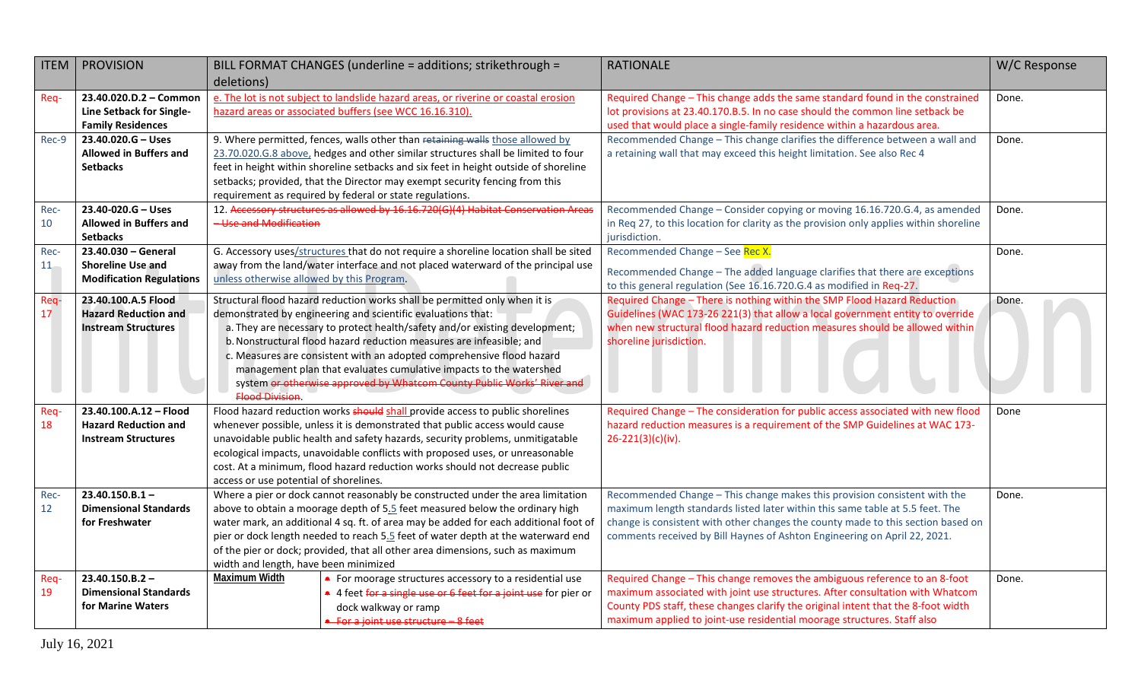| deletions)<br>e. The lot is not subject to landslide hazard areas, or riverine or coastal erosion<br>23.40.020.D.2 - Common<br>Required Change - This change adds the same standard found in the constrained<br>Req-<br>Done.<br>hazard areas or associated buffers (see WCC 16.16.310).<br>lot provisions at 23.40.170.B.5. In no case should the common line setback be<br>Line Setback for Single-<br><b>Family Residences</b><br>used that would place a single-family residence within a hazardous area.<br>23.40.020.G - Uses<br>9. Where permitted, fences, walls other than retaining walls those allowed by<br>Recommended Change - This change clarifies the difference between a wall and<br>Done.<br>Rec-9<br>23.70.020.G.8 above, hedges and other similar structures shall be limited to four<br><b>Allowed in Buffers and</b><br>a retaining wall that may exceed this height limitation. See also Rec 4<br>feet in height within shoreline setbacks and six feet in height outside of shoreline<br><b>Setbacks</b><br>setbacks; provided, that the Director may exempt security fencing from this<br>requirement as required by federal or state regulations.<br>12. Accessory structures as allowed by 16.16.720(G)(4) Habitat Conservation Areas<br>Recommended Change - Consider copying or moving 16.16.720.G.4, as amended<br>23.40-020.G - Uses<br>Done.<br>Rec-<br>- Use and Modification<br>10<br><b>Allowed in Buffers and</b><br>in Req 27, to this location for clarity as the provision only applies within shoreline<br><b>Setbacks</b><br>jurisdiction.<br>23.40.030 - General<br>G. Accessory uses/structures that do not require a shoreline location shall be sited<br>Recommended Change - See Rec X.<br>Rec-<br>Done.<br><b>Shoreline Use and</b><br>away from the land/water interface and not placed waterward of the principal use<br>$11 -$<br>Recommended Change - The added language clarifies that there are exceptions<br>unless otherwise allowed by this Program.<br><b>Modification Regulations</b><br>to this general regulation (See 16.16.720.G.4 as modified in Req-27.<br>Required Change - There is nothing within the SMP Flood Hazard Reduction<br>Structural flood hazard reduction works shall be permitted only when it is<br>Req-<br>23.40.100.A.5 Flood<br>Done. |  |
|-----------------------------------------------------------------------------------------------------------------------------------------------------------------------------------------------------------------------------------------------------------------------------------------------------------------------------------------------------------------------------------------------------------------------------------------------------------------------------------------------------------------------------------------------------------------------------------------------------------------------------------------------------------------------------------------------------------------------------------------------------------------------------------------------------------------------------------------------------------------------------------------------------------------------------------------------------------------------------------------------------------------------------------------------------------------------------------------------------------------------------------------------------------------------------------------------------------------------------------------------------------------------------------------------------------------------------------------------------------------------------------------------------------------------------------------------------------------------------------------------------------------------------------------------------------------------------------------------------------------------------------------------------------------------------------------------------------------------------------------------------------------------------------------------------------------------------------------------------------------------------------------------------------------------------------------------------------------------------------------------------------------------------------------------------------------------------------------------------------------------------------------------------------------------------------------------------------------------------------------------------------------------------------------------------------------------------|--|
|                                                                                                                                                                                                                                                                                                                                                                                                                                                                                                                                                                                                                                                                                                                                                                                                                                                                                                                                                                                                                                                                                                                                                                                                                                                                                                                                                                                                                                                                                                                                                                                                                                                                                                                                                                                                                                                                                                                                                                                                                                                                                                                                                                                                                                                                                                                             |  |
|                                                                                                                                                                                                                                                                                                                                                                                                                                                                                                                                                                                                                                                                                                                                                                                                                                                                                                                                                                                                                                                                                                                                                                                                                                                                                                                                                                                                                                                                                                                                                                                                                                                                                                                                                                                                                                                                                                                                                                                                                                                                                                                                                                                                                                                                                                                             |  |
|                                                                                                                                                                                                                                                                                                                                                                                                                                                                                                                                                                                                                                                                                                                                                                                                                                                                                                                                                                                                                                                                                                                                                                                                                                                                                                                                                                                                                                                                                                                                                                                                                                                                                                                                                                                                                                                                                                                                                                                                                                                                                                                                                                                                                                                                                                                             |  |
|                                                                                                                                                                                                                                                                                                                                                                                                                                                                                                                                                                                                                                                                                                                                                                                                                                                                                                                                                                                                                                                                                                                                                                                                                                                                                                                                                                                                                                                                                                                                                                                                                                                                                                                                                                                                                                                                                                                                                                                                                                                                                                                                                                                                                                                                                                                             |  |
|                                                                                                                                                                                                                                                                                                                                                                                                                                                                                                                                                                                                                                                                                                                                                                                                                                                                                                                                                                                                                                                                                                                                                                                                                                                                                                                                                                                                                                                                                                                                                                                                                                                                                                                                                                                                                                                                                                                                                                                                                                                                                                                                                                                                                                                                                                                             |  |
|                                                                                                                                                                                                                                                                                                                                                                                                                                                                                                                                                                                                                                                                                                                                                                                                                                                                                                                                                                                                                                                                                                                                                                                                                                                                                                                                                                                                                                                                                                                                                                                                                                                                                                                                                                                                                                                                                                                                                                                                                                                                                                                                                                                                                                                                                                                             |  |
|                                                                                                                                                                                                                                                                                                                                                                                                                                                                                                                                                                                                                                                                                                                                                                                                                                                                                                                                                                                                                                                                                                                                                                                                                                                                                                                                                                                                                                                                                                                                                                                                                                                                                                                                                                                                                                                                                                                                                                                                                                                                                                                                                                                                                                                                                                                             |  |
|                                                                                                                                                                                                                                                                                                                                                                                                                                                                                                                                                                                                                                                                                                                                                                                                                                                                                                                                                                                                                                                                                                                                                                                                                                                                                                                                                                                                                                                                                                                                                                                                                                                                                                                                                                                                                                                                                                                                                                                                                                                                                                                                                                                                                                                                                                                             |  |
|                                                                                                                                                                                                                                                                                                                                                                                                                                                                                                                                                                                                                                                                                                                                                                                                                                                                                                                                                                                                                                                                                                                                                                                                                                                                                                                                                                                                                                                                                                                                                                                                                                                                                                                                                                                                                                                                                                                                                                                                                                                                                                                                                                                                                                                                                                                             |  |
|                                                                                                                                                                                                                                                                                                                                                                                                                                                                                                                                                                                                                                                                                                                                                                                                                                                                                                                                                                                                                                                                                                                                                                                                                                                                                                                                                                                                                                                                                                                                                                                                                                                                                                                                                                                                                                                                                                                                                                                                                                                                                                                                                                                                                                                                                                                             |  |
|                                                                                                                                                                                                                                                                                                                                                                                                                                                                                                                                                                                                                                                                                                                                                                                                                                                                                                                                                                                                                                                                                                                                                                                                                                                                                                                                                                                                                                                                                                                                                                                                                                                                                                                                                                                                                                                                                                                                                                                                                                                                                                                                                                                                                                                                                                                             |  |
|                                                                                                                                                                                                                                                                                                                                                                                                                                                                                                                                                                                                                                                                                                                                                                                                                                                                                                                                                                                                                                                                                                                                                                                                                                                                                                                                                                                                                                                                                                                                                                                                                                                                                                                                                                                                                                                                                                                                                                                                                                                                                                                                                                                                                                                                                                                             |  |
|                                                                                                                                                                                                                                                                                                                                                                                                                                                                                                                                                                                                                                                                                                                                                                                                                                                                                                                                                                                                                                                                                                                                                                                                                                                                                                                                                                                                                                                                                                                                                                                                                                                                                                                                                                                                                                                                                                                                                                                                                                                                                                                                                                                                                                                                                                                             |  |
|                                                                                                                                                                                                                                                                                                                                                                                                                                                                                                                                                                                                                                                                                                                                                                                                                                                                                                                                                                                                                                                                                                                                                                                                                                                                                                                                                                                                                                                                                                                                                                                                                                                                                                                                                                                                                                                                                                                                                                                                                                                                                                                                                                                                                                                                                                                             |  |
| Guidelines (WAC 173-26 221(3) that allow a local government entity to override<br>17<br><b>Hazard Reduction and</b><br>demonstrated by engineering and scientific evaluations that:                                                                                                                                                                                                                                                                                                                                                                                                                                                                                                                                                                                                                                                                                                                                                                                                                                                                                                                                                                                                                                                                                                                                                                                                                                                                                                                                                                                                                                                                                                                                                                                                                                                                                                                                                                                                                                                                                                                                                                                                                                                                                                                                         |  |
| when new structural flood hazard reduction measures should be allowed within<br>a. They are necessary to protect health/safety and/or existing development;<br><b>Instream Structures</b>                                                                                                                                                                                                                                                                                                                                                                                                                                                                                                                                                                                                                                                                                                                                                                                                                                                                                                                                                                                                                                                                                                                                                                                                                                                                                                                                                                                                                                                                                                                                                                                                                                                                                                                                                                                                                                                                                                                                                                                                                                                                                                                                   |  |
| b. Nonstructural flood hazard reduction measures are infeasible; and<br>shoreline jurisdiction.                                                                                                                                                                                                                                                                                                                                                                                                                                                                                                                                                                                                                                                                                                                                                                                                                                                                                                                                                                                                                                                                                                                                                                                                                                                                                                                                                                                                                                                                                                                                                                                                                                                                                                                                                                                                                                                                                                                                                                                                                                                                                                                                                                                                                             |  |
| c. Measures are consistent with an adopted comprehensive flood hazard                                                                                                                                                                                                                                                                                                                                                                                                                                                                                                                                                                                                                                                                                                                                                                                                                                                                                                                                                                                                                                                                                                                                                                                                                                                                                                                                                                                                                                                                                                                                                                                                                                                                                                                                                                                                                                                                                                                                                                                                                                                                                                                                                                                                                                                       |  |
| management plan that evaluates cumulative impacts to the watershed                                                                                                                                                                                                                                                                                                                                                                                                                                                                                                                                                                                                                                                                                                                                                                                                                                                                                                                                                                                                                                                                                                                                                                                                                                                                                                                                                                                                                                                                                                                                                                                                                                                                                                                                                                                                                                                                                                                                                                                                                                                                                                                                                                                                                                                          |  |
| system or otherwise approved by Whatcom County Public Works' River and<br><b>Flood Division.</b>                                                                                                                                                                                                                                                                                                                                                                                                                                                                                                                                                                                                                                                                                                                                                                                                                                                                                                                                                                                                                                                                                                                                                                                                                                                                                                                                                                                                                                                                                                                                                                                                                                                                                                                                                                                                                                                                                                                                                                                                                                                                                                                                                                                                                            |  |
| Flood hazard reduction works should shall provide access to public shorelines<br>Required Change - The consideration for public access associated with new flood<br>23.40.100.A.12 - Flood<br>Req-<br>Done                                                                                                                                                                                                                                                                                                                                                                                                                                                                                                                                                                                                                                                                                                                                                                                                                                                                                                                                                                                                                                                                                                                                                                                                                                                                                                                                                                                                                                                                                                                                                                                                                                                                                                                                                                                                                                                                                                                                                                                                                                                                                                                  |  |
| <b>Hazard Reduction and</b><br>whenever possible, unless it is demonstrated that public access would cause<br>hazard reduction measures is a requirement of the SMP Guidelines at WAC 173-<br>18                                                                                                                                                                                                                                                                                                                                                                                                                                                                                                                                                                                                                                                                                                                                                                                                                                                                                                                                                                                                                                                                                                                                                                                                                                                                                                                                                                                                                                                                                                                                                                                                                                                                                                                                                                                                                                                                                                                                                                                                                                                                                                                            |  |
| unavoidable public health and safety hazards, security problems, unmitigatable<br><b>Instream Structures</b><br>$26 - 221(3)(c)(iv)$ .                                                                                                                                                                                                                                                                                                                                                                                                                                                                                                                                                                                                                                                                                                                                                                                                                                                                                                                                                                                                                                                                                                                                                                                                                                                                                                                                                                                                                                                                                                                                                                                                                                                                                                                                                                                                                                                                                                                                                                                                                                                                                                                                                                                      |  |
| ecological impacts, unavoidable conflicts with proposed uses, or unreasonable                                                                                                                                                                                                                                                                                                                                                                                                                                                                                                                                                                                                                                                                                                                                                                                                                                                                                                                                                                                                                                                                                                                                                                                                                                                                                                                                                                                                                                                                                                                                                                                                                                                                                                                                                                                                                                                                                                                                                                                                                                                                                                                                                                                                                                               |  |
| cost. At a minimum, flood hazard reduction works should not decrease public                                                                                                                                                                                                                                                                                                                                                                                                                                                                                                                                                                                                                                                                                                                                                                                                                                                                                                                                                                                                                                                                                                                                                                                                                                                                                                                                                                                                                                                                                                                                                                                                                                                                                                                                                                                                                                                                                                                                                                                                                                                                                                                                                                                                                                                 |  |
| access or use potential of shorelines.<br>$23.40.150.B.1 -$<br>Where a pier or dock cannot reasonably be constructed under the area limitation<br>Recommended Change - This change makes this provision consistent with the<br>Rec-<br>Done.                                                                                                                                                                                                                                                                                                                                                                                                                                                                                                                                                                                                                                                                                                                                                                                                                                                                                                                                                                                                                                                                                                                                                                                                                                                                                                                                                                                                                                                                                                                                                                                                                                                                                                                                                                                                                                                                                                                                                                                                                                                                                |  |
| 12<br><b>Dimensional Standards</b><br>above to obtain a moorage depth of 5.5 feet measured below the ordinary high<br>maximum length standards listed later within this same table at 5.5 feet. The                                                                                                                                                                                                                                                                                                                                                                                                                                                                                                                                                                                                                                                                                                                                                                                                                                                                                                                                                                                                                                                                                                                                                                                                                                                                                                                                                                                                                                                                                                                                                                                                                                                                                                                                                                                                                                                                                                                                                                                                                                                                                                                         |  |
| water mark, an additional 4 sq. ft. of area may be added for each additional foot of<br>change is consistent with other changes the county made to this section based on<br>for Freshwater                                                                                                                                                                                                                                                                                                                                                                                                                                                                                                                                                                                                                                                                                                                                                                                                                                                                                                                                                                                                                                                                                                                                                                                                                                                                                                                                                                                                                                                                                                                                                                                                                                                                                                                                                                                                                                                                                                                                                                                                                                                                                                                                  |  |
| pier or dock length needed to reach 5.5 feet of water depth at the waterward end<br>comments received by Bill Haynes of Ashton Engineering on April 22, 2021.                                                                                                                                                                                                                                                                                                                                                                                                                                                                                                                                                                                                                                                                                                                                                                                                                                                                                                                                                                                                                                                                                                                                                                                                                                                                                                                                                                                                                                                                                                                                                                                                                                                                                                                                                                                                                                                                                                                                                                                                                                                                                                                                                               |  |
| of the pier or dock; provided, that all other area dimensions, such as maximum                                                                                                                                                                                                                                                                                                                                                                                                                                                                                                                                                                                                                                                                                                                                                                                                                                                                                                                                                                                                                                                                                                                                                                                                                                                                                                                                                                                                                                                                                                                                                                                                                                                                                                                                                                                                                                                                                                                                                                                                                                                                                                                                                                                                                                              |  |
| width and length, have been minimized                                                                                                                                                                                                                                                                                                                                                                                                                                                                                                                                                                                                                                                                                                                                                                                                                                                                                                                                                                                                                                                                                                                                                                                                                                                                                                                                                                                                                                                                                                                                                                                                                                                                                                                                                                                                                                                                                                                                                                                                                                                                                                                                                                                                                                                                                       |  |
| <b>Maximum Width</b><br>Required Change - This change removes the ambiguous reference to an 8-foot<br>$23.40.150.B.2 -$<br>Done.<br>Req-<br>• For moorage structures accessory to a residential use<br>19<br><b>Dimensional Standards</b><br>• 4 feet for a single use or 6 feet for a joint use for pier or<br>maximum associated with joint use structures. After consultation with Whatcom                                                                                                                                                                                                                                                                                                                                                                                                                                                                                                                                                                                                                                                                                                                                                                                                                                                                                                                                                                                                                                                                                                                                                                                                                                                                                                                                                                                                                                                                                                                                                                                                                                                                                                                                                                                                                                                                                                                               |  |
| County PDS staff, these changes clarify the original intent that the 8-foot width<br>for Marine Waters<br>dock walkway or ramp                                                                                                                                                                                                                                                                                                                                                                                                                                                                                                                                                                                                                                                                                                                                                                                                                                                                                                                                                                                                                                                                                                                                                                                                                                                                                                                                                                                                                                                                                                                                                                                                                                                                                                                                                                                                                                                                                                                                                                                                                                                                                                                                                                                              |  |
| maximum applied to joint-use residential moorage structures. Staff also<br>• For a joint use structure - 8 feet                                                                                                                                                                                                                                                                                                                                                                                                                                                                                                                                                                                                                                                                                                                                                                                                                                                                                                                                                                                                                                                                                                                                                                                                                                                                                                                                                                                                                                                                                                                                                                                                                                                                                                                                                                                                                                                                                                                                                                                                                                                                                                                                                                                                             |  |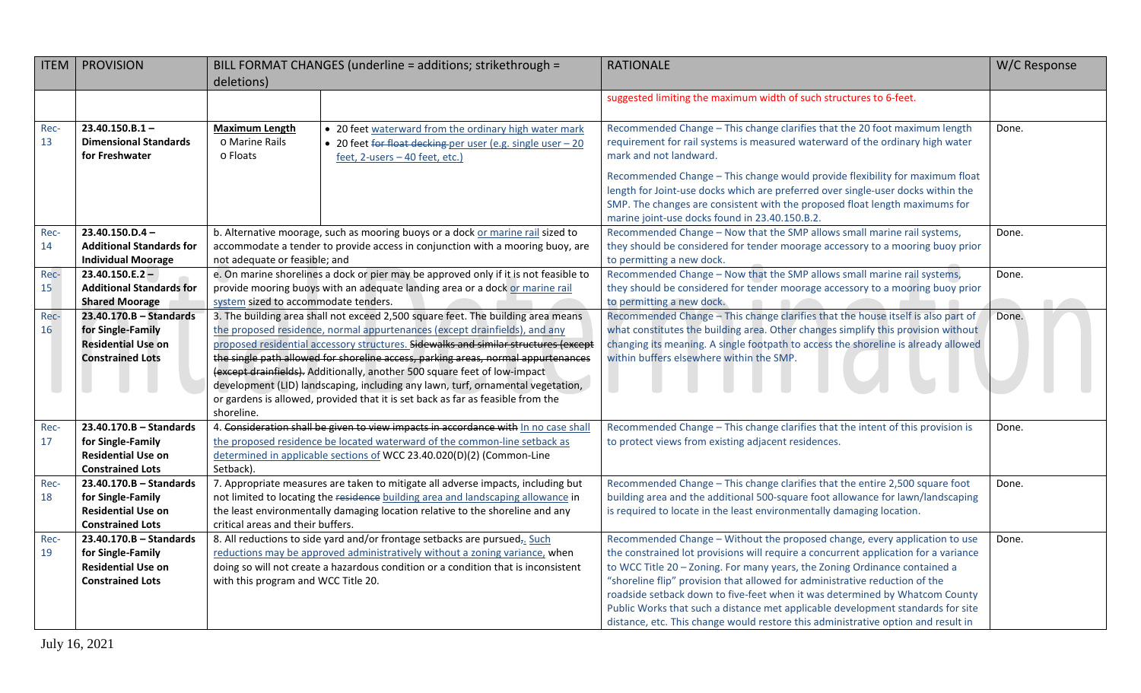| <b>ITEM</b> | <b>PROVISION</b>                                   |                                                                                                                          | BILL FORMAT CHANGES (underline = additions; strikethrough =                                                                                                       | <b>RATIONALE</b>                                                                                                                                         | W/C Response |
|-------------|----------------------------------------------------|--------------------------------------------------------------------------------------------------------------------------|-------------------------------------------------------------------------------------------------------------------------------------------------------------------|----------------------------------------------------------------------------------------------------------------------------------------------------------|--------------|
|             |                                                    | deletions)                                                                                                               |                                                                                                                                                                   |                                                                                                                                                          |              |
|             |                                                    |                                                                                                                          |                                                                                                                                                                   | suggested limiting the maximum width of such structures to 6-feet.                                                                                       |              |
|             |                                                    |                                                                                                                          |                                                                                                                                                                   |                                                                                                                                                          |              |
| Rec-        | $23.40.150.B.1 -$                                  | <b>Maximum Length</b>                                                                                                    | • 20 feet waterward from the ordinary high water mark                                                                                                             | Recommended Change - This change clarifies that the 20 foot maximum length                                                                               | Done.        |
| 13          | <b>Dimensional Standards</b>                       | o Marine Rails                                                                                                           | • 20 feet for float decking per user (e.g. single user - 20                                                                                                       | requirement for rail systems is measured waterward of the ordinary high water                                                                            |              |
|             | for Freshwater                                     | o Floats                                                                                                                 | feet, 2-users - 40 feet, etc.)                                                                                                                                    | mark and not landward.                                                                                                                                   |              |
|             |                                                    |                                                                                                                          |                                                                                                                                                                   | Recommended Change - This change would provide flexibility for maximum float                                                                             |              |
|             |                                                    |                                                                                                                          |                                                                                                                                                                   | length for Joint-use docks which are preferred over single-user docks within the                                                                         |              |
|             |                                                    |                                                                                                                          |                                                                                                                                                                   | SMP. The changes are consistent with the proposed float length maximums for                                                                              |              |
|             |                                                    |                                                                                                                          |                                                                                                                                                                   | marine joint-use docks found in 23.40.150.B.2.                                                                                                           |              |
| Rec-        | $23.40.150.D.4-$                                   |                                                                                                                          | b. Alternative moorage, such as mooring buoys or a dock or marine rail sized to                                                                                   | Recommended Change - Now that the SMP allows small marine rail systems,                                                                                  | Done.        |
| 14          | <b>Additional Standards for</b>                    |                                                                                                                          | accommodate a tender to provide access in conjunction with a mooring buoy, are                                                                                    | they should be considered for tender moorage accessory to a mooring buoy prior                                                                           |              |
|             | <b>Individual Moorage</b>                          | not adequate or feasible; and                                                                                            |                                                                                                                                                                   | to permitting a new dock.                                                                                                                                |              |
| Rec-        | $23.40.150.E.2 -$                                  |                                                                                                                          | e. On marine shorelines a dock or pier may be approved only if it is not feasible to                                                                              | Recommended Change - Now that the SMP allows small marine rail systems,                                                                                  | Done.        |
| 15          | <b>Additional Standards for</b>                    |                                                                                                                          | provide mooring buoys with an adequate landing area or a dock or marine rail                                                                                      | they should be considered for tender moorage accessory to a mooring buoy prior                                                                           |              |
| Rec-        | <b>Shared Moorage</b><br>$23.40.170.B - Standards$ | system sized to accommodate tenders.<br>3. The building area shall not exceed 2,500 square feet. The building area means |                                                                                                                                                                   | to permitting a new dock.<br>Recommended Change - This change clarifies that the house itself is also part of                                            | Done.        |
| 16          | for Single-Family                                  |                                                                                                                          | the proposed residence, normal appurtenances (except drainfields), and any                                                                                        | what constitutes the building area. Other changes simplify this provision without                                                                        |              |
|             | <b>Residential Use on</b>                          |                                                                                                                          | proposed residential accessory structures. Sidewalks and similar structures (except                                                                               | changing its meaning. A single footpath to access the shoreline is already allowed                                                                       |              |
|             | <b>Constrained Lots</b>                            |                                                                                                                          | the single path allowed for shoreline access, parking areas, normal appurtenances                                                                                 | within buffers elsewhere within the SMP.                                                                                                                 |              |
|             |                                                    |                                                                                                                          | (except drainfields). Additionally, another 500 square feet of low-impact                                                                                         |                                                                                                                                                          |              |
|             |                                                    |                                                                                                                          | development (LID) landscaping, including any lawn, turf, ornamental vegetation,                                                                                   |                                                                                                                                                          |              |
|             |                                                    |                                                                                                                          | or gardens is allowed, provided that it is set back as far as feasible from the                                                                                   |                                                                                                                                                          |              |
|             |                                                    | shoreline.                                                                                                               |                                                                                                                                                                   |                                                                                                                                                          |              |
| Rec-        | $23.40.170.B - Standards$                          |                                                                                                                          | 4. Consideration shall be given to view impacts in accordance with In no case shall                                                                               | Recommended Change - This change clarifies that the intent of this provision is                                                                          | Done.        |
| 17          | for Single-Family                                  |                                                                                                                          | the proposed residence be located waterward of the common-line setback as                                                                                         | to protect views from existing adjacent residences.                                                                                                      |              |
|             | <b>Residential Use on</b>                          |                                                                                                                          | determined in applicable sections of WCC 23.40.020(D)(2) (Common-Line                                                                                             |                                                                                                                                                          |              |
|             | <b>Constrained Lots</b>                            | Setback).                                                                                                                |                                                                                                                                                                   |                                                                                                                                                          |              |
| Rec-        | $23.40.170.B - Standards$                          |                                                                                                                          | 7. Appropriate measures are taken to mitigate all adverse impacts, including but                                                                                  | Recommended Change - This change clarifies that the entire 2,500 square foot                                                                             | Done.        |
| 18          | for Single-Family<br><b>Residential Use on</b>     |                                                                                                                          | not limited to locating the residence building area and landscaping allowance in<br>the least environmentally damaging location relative to the shoreline and any | building area and the additional 500-square foot allowance for lawn/landscaping<br>is required to locate in the least environmentally damaging location. |              |
|             | <b>Constrained Lots</b>                            | critical areas and their buffers.                                                                                        |                                                                                                                                                                   |                                                                                                                                                          |              |
| Rec-        | $23.40.170.B - Standards$                          |                                                                                                                          | 8. All reductions to side yard and/or frontage setbacks are pursued <sub>7</sub> . Such                                                                           | Recommended Change - Without the proposed change, every application to use                                                                               | Done.        |
| 19          | for Single-Family                                  |                                                                                                                          | reductions may be approved administratively without a zoning variance, when                                                                                       | the constrained lot provisions will require a concurrent application for a variance                                                                      |              |
|             | <b>Residential Use on</b>                          |                                                                                                                          | doing so will not create a hazardous condition or a condition that is inconsistent                                                                                | to WCC Title 20 - Zoning. For many years, the Zoning Ordinance contained a                                                                               |              |
|             | <b>Constrained Lots</b>                            | with this program and WCC Title 20.                                                                                      |                                                                                                                                                                   | "shoreline flip" provision that allowed for administrative reduction of the                                                                              |              |
|             |                                                    |                                                                                                                          |                                                                                                                                                                   | roadside setback down to five-feet when it was determined by Whatcom County                                                                              |              |
|             |                                                    |                                                                                                                          |                                                                                                                                                                   | Public Works that such a distance met applicable development standards for site                                                                          |              |
|             |                                                    |                                                                                                                          |                                                                                                                                                                   | distance, etc. This change would restore this administrative option and result in                                                                        |              |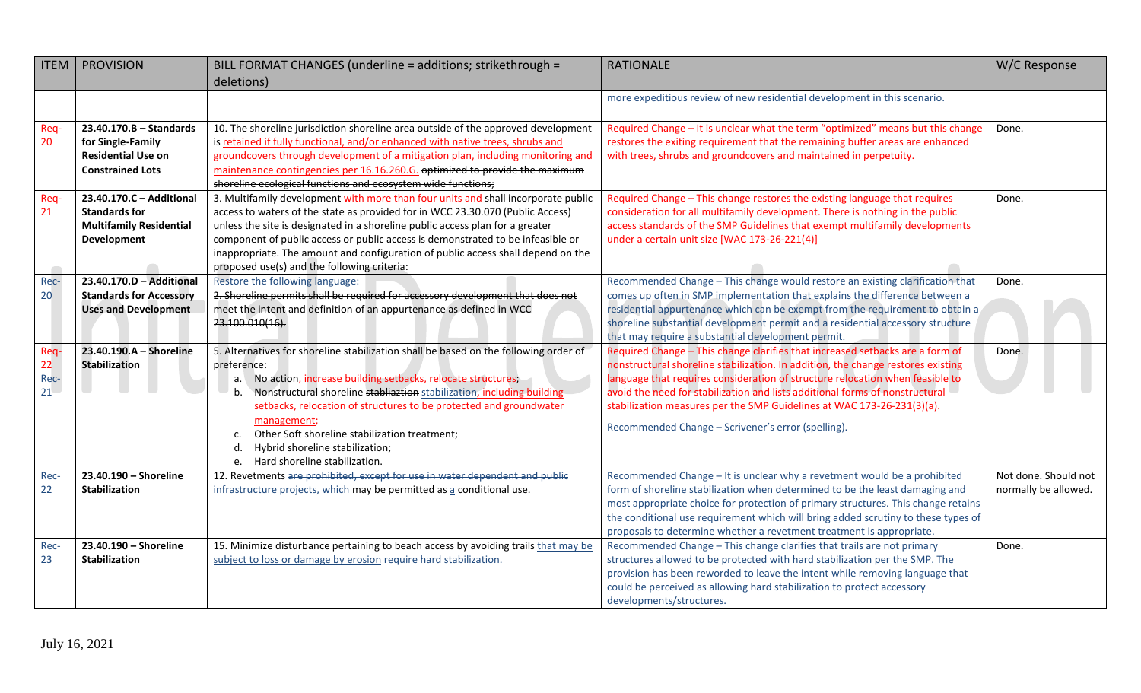| <b>ITEM</b>             | <b>PROVISION</b>               | BILL FORMAT CHANGES (underline = additions; strikethrough =                          | <b>RATIONALE</b>                                                                                                                                              | W/C Response         |
|-------------------------|--------------------------------|--------------------------------------------------------------------------------------|---------------------------------------------------------------------------------------------------------------------------------------------------------------|----------------------|
|                         |                                | deletions)                                                                           |                                                                                                                                                               |                      |
|                         |                                |                                                                                      | more expeditious review of new residential development in this scenario.                                                                                      |                      |
|                         |                                |                                                                                      |                                                                                                                                                               |                      |
| Req-                    | $23.40.170.B - Standards$      | 10. The shoreline jurisdiction shoreline area outside of the approved development    | Required Change - It is unclear what the term "optimized" means but this change                                                                               | Done.                |
| 20                      | for Single-Family              | is retained if fully functional, and/or enhanced with native trees, shrubs and       | restores the exiting requirement that the remaining buffer areas are enhanced                                                                                 |                      |
|                         | <b>Residential Use on</b>      | groundcovers through development of a mitigation plan, including monitoring and      | with trees, shrubs and groundcovers and maintained in perpetuity.                                                                                             |                      |
|                         | <b>Constrained Lots</b>        | maintenance contingencies per 16.16.260.G. optimized to provide the maximum          |                                                                                                                                                               |                      |
|                         |                                | shoreline ecological functions and ecosystem wide functions;                         |                                                                                                                                                               |                      |
| Req-                    | 23.40.170.C - Additional       | 3. Multifamily development with more than four units and shall incorporate public    | Required Change - This change restores the existing language that requires                                                                                    | Done.                |
| 21                      | <b>Standards for</b>           | access to waters of the state as provided for in WCC 23.30.070 (Public Access)       | consideration for all multifamily development. There is nothing in the public                                                                                 |                      |
|                         | <b>Multifamily Residential</b> | unless the site is designated in a shoreline public access plan for a greater        | access standards of the SMP Guidelines that exempt multifamily developments                                                                                   |                      |
|                         | Development                    | component of public access or public access is demonstrated to be infeasible or      | under a certain unit size [WAC 173-26-221(4)]                                                                                                                 |                      |
|                         |                                | inappropriate. The amount and configuration of public access shall depend on the     |                                                                                                                                                               |                      |
|                         |                                | proposed use(s) and the following criteria:                                          |                                                                                                                                                               |                      |
| Rec-                    | 23.40.170.D - Additional       | Restore the following language:                                                      | Recommended Change - This change would restore an existing clarification that                                                                                 | Done.                |
| 20                      | <b>Standards for Accessory</b> | 2. Shoreline permits shall be required for accessory development that does not       | comes up often in SMP implementation that explains the difference between a                                                                                   |                      |
|                         | <b>Uses and Development</b>    | meet the intent and definition of an appurtenance as defined in WCC                  | residential appurtenance which can be exempt from the requirement to obtain a                                                                                 |                      |
|                         |                                | 23.100.010(16).                                                                      | shoreline substantial development permit and a residential accessory structure                                                                                |                      |
|                         |                                |                                                                                      | that may require a substantial development permit.                                                                                                            |                      |
| Req-                    | 23.40.190.A - Shoreline        | 5. Alternatives for shoreline stabilization shall be based on the following order of | Required Change - This change clarifies that increased setbacks are a form of                                                                                 | Done.                |
| 22                      | <b>Stabilization</b>           | preference:                                                                          | nonstructural shoreline stabilization. In addition, the change restores existing                                                                              |                      |
| Rec-<br>21 <sup>2</sup> |                                | No action, increase building setbacks, relocate structures;<br>а.                    | language that requires consideration of structure relocation when feasible to<br>avoid the need for stabilization and lists additional forms of nonstructural |                      |
|                         |                                | Nonstructural shoreline stabliaztion stabilization, including building<br>b.         |                                                                                                                                                               |                      |
|                         |                                | setbacks, relocation of structures to be protected and groundwater                   | stabilization measures per the SMP Guidelines at WAC 173-26-231(3)(a).                                                                                        |                      |
|                         |                                | management;<br>Other Soft shoreline stabilization treatment;<br>c.                   | Recommended Change - Scrivener's error (spelling).                                                                                                            |                      |
|                         |                                | Hybrid shoreline stabilization;<br>d.                                                |                                                                                                                                                               |                      |
|                         |                                | e. Hard shoreline stabilization.                                                     |                                                                                                                                                               |                      |
| Rec-                    | 23.40.190 - Shoreline          | 12. Revetments are prohibited, except for use in water dependent and public          | Recommended Change - It is unclear why a revetment would be a prohibited                                                                                      | Not done. Should not |
| 22                      | <b>Stabilization</b>           | infrastructure projects, which may be permitted as a conditional use.                | form of shoreline stabilization when determined to be the least damaging and                                                                                  | normally be allowed. |
|                         |                                |                                                                                      | most appropriate choice for protection of primary structures. This change retains                                                                             |                      |
|                         |                                |                                                                                      | the conditional use requirement which will bring added scrutiny to these types of                                                                             |                      |
|                         |                                |                                                                                      | proposals to determine whether a revetment treatment is appropriate.                                                                                          |                      |
| Rec-                    | 23.40.190 - Shoreline          | 15. Minimize disturbance pertaining to beach access by avoiding trails that may be   | Recommended Change - This change clarifies that trails are not primary                                                                                        | Done.                |
| 23                      | <b>Stabilization</b>           | subject to loss or damage by erosion require hard stabilization.                     | structures allowed to be protected with hard stabilization per the SMP. The                                                                                   |                      |
|                         |                                |                                                                                      | provision has been reworded to leave the intent while removing language that                                                                                  |                      |
|                         |                                |                                                                                      | could be perceived as allowing hard stabilization to protect accessory                                                                                        |                      |
|                         |                                |                                                                                      | developments/structures.                                                                                                                                      |                      |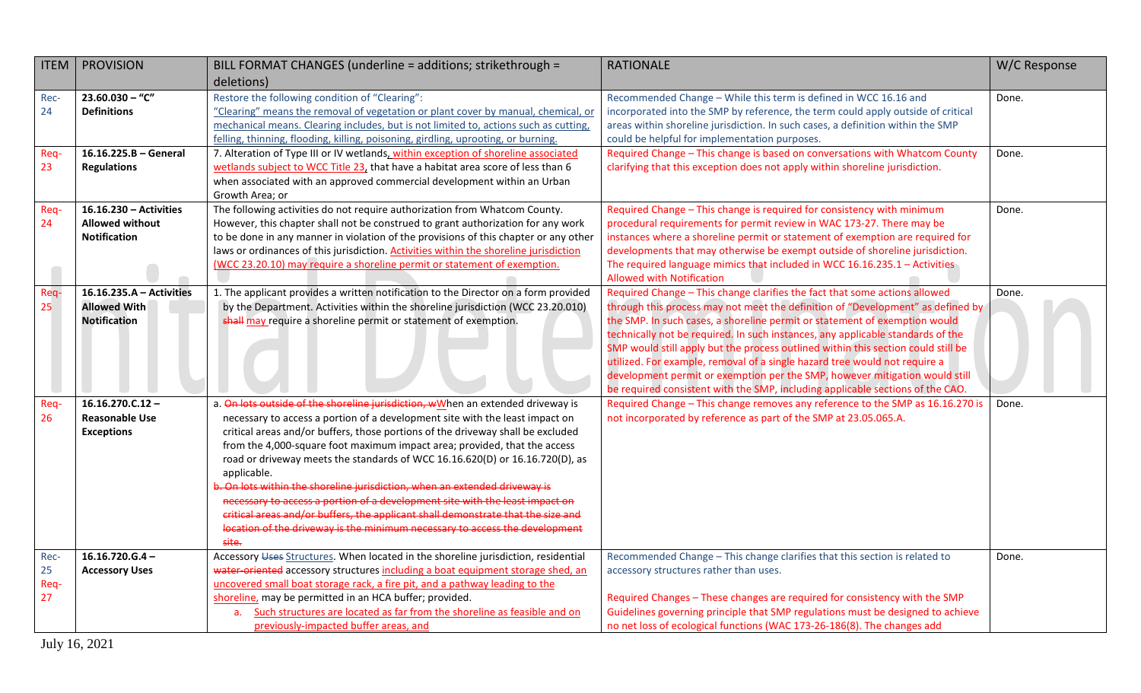| <b>ITEM</b>              | <b>PROVISION</b>                                                        | BILL FORMAT CHANGES (underline = additions; strikethrough =                                                                                                                                                                                                                                                                                                                                                                                                                                                                                                                                                                                                                                                                                                              | <b>RATIONALE</b>                                                                                                                                                                                                                                                                                                                                                                                                                                                                                                                                                                                                                                                   | W/C Response |
|--------------------------|-------------------------------------------------------------------------|--------------------------------------------------------------------------------------------------------------------------------------------------------------------------------------------------------------------------------------------------------------------------------------------------------------------------------------------------------------------------------------------------------------------------------------------------------------------------------------------------------------------------------------------------------------------------------------------------------------------------------------------------------------------------------------------------------------------------------------------------------------------------|--------------------------------------------------------------------------------------------------------------------------------------------------------------------------------------------------------------------------------------------------------------------------------------------------------------------------------------------------------------------------------------------------------------------------------------------------------------------------------------------------------------------------------------------------------------------------------------------------------------------------------------------------------------------|--------------|
|                          |                                                                         | deletions)                                                                                                                                                                                                                                                                                                                                                                                                                                                                                                                                                                                                                                                                                                                                                               |                                                                                                                                                                                                                                                                                                                                                                                                                                                                                                                                                                                                                                                                    |              |
| Rec-<br>24               | $23.60.030 -$ "C"<br><b>Definitions</b>                                 | Restore the following condition of "Clearing":<br>"Clearing" means the removal of vegetation or plant cover by manual, chemical, or<br>mechanical means. Clearing includes, but is not limited to, actions such as cutting,<br>felling, thinning, flooding, killing, poisoning, girdling, uprooting, or burning.                                                                                                                                                                                                                                                                                                                                                                                                                                                         | Recommended Change - While this term is defined in WCC 16.16 and<br>incorporated into the SMP by reference, the term could apply outside of critical<br>areas within shoreline jurisdiction. In such cases, a definition within the SMP<br>could be helpful for implementation purposes.                                                                                                                                                                                                                                                                                                                                                                           | Done.        |
| Req-<br>23               | 16.16.225.B - General<br><b>Regulations</b>                             | 7. Alteration of Type III or IV wetlands, within exception of shoreline associated<br>wetlands subject to WCC Title 23, that have a habitat area score of less than 6<br>when associated with an approved commercial development within an Urban<br>Growth Area; or                                                                                                                                                                                                                                                                                                                                                                                                                                                                                                      | Required Change - This change is based on conversations with Whatcom County<br>clarifying that this exception does not apply within shoreline jurisdiction.                                                                                                                                                                                                                                                                                                                                                                                                                                                                                                        | Done.        |
| Req-<br>24               | 16.16.230 - Activities<br><b>Allowed without</b><br><b>Notification</b> | The following activities do not require authorization from Whatcom County.<br>However, this chapter shall not be construed to grant authorization for any work<br>to be done in any manner in violation of the provisions of this chapter or any other<br>laws or ordinances of this jurisdiction. Activities within the shoreline jurisdiction<br>(WCC 23.20.10) may require a shoreline permit or statement of exemption.                                                                                                                                                                                                                                                                                                                                              | Required Change - This change is required for consistency with minimum<br>procedural requirements for permit review in WAC 173-27. There may be<br>instances where a shoreline permit or statement of exemption are required for<br>developments that may otherwise be exempt outside of shoreline jurisdiction.<br>The required language mimics that included in WCC 16.16.235.1 - Activities<br><b>Allowed with Notification</b>                                                                                                                                                                                                                                 | Done.        |
| Req-<br>25               | 16.16.235.A - Activities<br><b>Allowed With</b><br><b>Notification</b>  | 1. The applicant provides a written notification to the Director on a form provided<br>by the Department. Activities within the shoreline jurisdiction (WCC 23.20.010)<br>shall may require a shoreline permit or statement of exemption.                                                                                                                                                                                                                                                                                                                                                                                                                                                                                                                                | Required Change - This change clarifies the fact that some actions allowed<br>through this process may not meet the definition of "Development" as defined by<br>the SMP. In such cases, a shoreline permit or statement of exemption would<br>technically not be required. In such instances, any applicable standards of the<br>SMP would still apply but the process outlined within this section could still be<br>utilized. For example, removal of a single hazard tree would not require a<br>development permit or exemption per the SMP, however mitigation would still<br>be required consistent with the SMP, including applicable sections of the CAO. | Done.        |
| Req-<br>26               | $16.16.270.C.12 -$<br><b>Reasonable Use</b><br><b>Exceptions</b>        | a. On lots outside of the shoreline jurisdiction, wWhen an extended driveway is<br>necessary to access a portion of a development site with the least impact on<br>critical areas and/or buffers, those portions of the driveway shall be excluded<br>from the 4,000-square foot maximum impact area; provided, that the access<br>road or driveway meets the standards of WCC 16.16.620(D) or 16.16.720(D), as<br>applicable.<br>b. On lots within the shoreline jurisdiction, when an extended driveway is<br>necessary to access a portion of a development site with the least impact on<br>critical areas and/or buffers, the applicant shall demonstrate that the size and<br>location of the driveway is the minimum necessary to access the development<br>site. | Required Change - This change removes any reference to the SMP as 16.16.270 is<br>not incorporated by reference as part of the SMP at 23.05.065.A.                                                                                                                                                                                                                                                                                                                                                                                                                                                                                                                 | Done.        |
| Rec-<br>25<br>Req-<br>27 | $16.16.720.G.4 -$<br><b>Accessory Uses</b>                              | Accessory Uses Structures. When located in the shoreline jurisdiction, residential<br>water-oriented accessory structures including a boat equipment storage shed, an<br>uncovered small boat storage rack, a fire pit, and a pathway leading to the<br>shoreline, may be permitted in an HCA buffer; provided.<br>Such structures are located as far from the shoreline as feasible and on<br>a.<br>previously-impacted buffer areas, and                                                                                                                                                                                                                                                                                                                               | Recommended Change - This change clarifies that this section is related to<br>accessory structures rather than uses.<br>Required Changes - These changes are required for consistency with the SMP<br>Guidelines governing principle that SMP regulations must be designed to achieve<br>no net loss of ecological functions (WAC 173-26-186(8). The changes add                                                                                                                                                                                                                                                                                                   | Done.        |